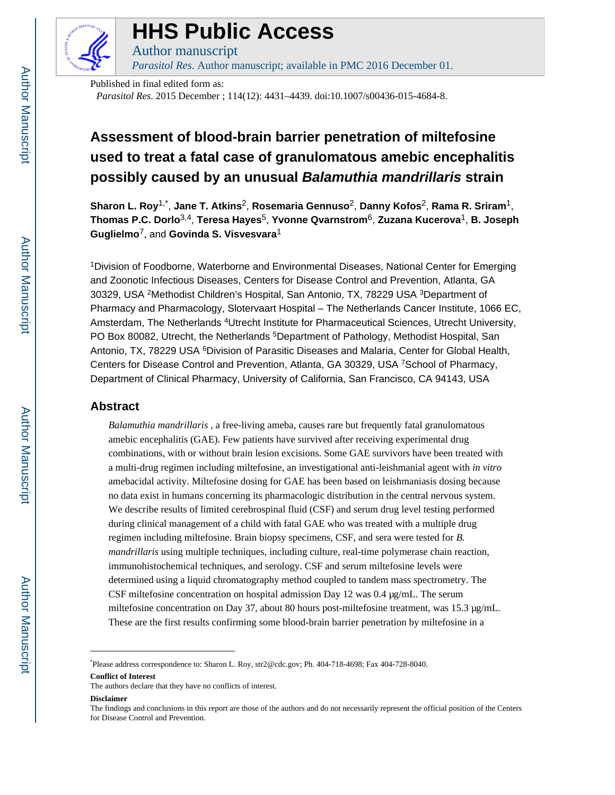

# **HHS Public Access**

Author manuscript *Parasitol Res*. Author manuscript; available in PMC 2016 December 01.

Published in final edited form as: *Parasitol Res*. 2015 December ; 114(12): 4431–4439. doi:10.1007/s00436-015-4684-8.

# **Assessment of blood-brain barrier penetration of miltefosine used to treat a fatal case of granulomatous amebic encephalitis possibly caused by an unusual Balamuthia mandrillaris strain**

**Sharon L. Roy**1,\* , **Jane T. Atkins**2, **Rosemaria Gennuso**2, **Danny Kofos**2, **Rama R. Sriram**1, **Thomas P.C. Dorlo**3,4, **Teresa Hayes**5, **Yvonne Qvarnstrom**6, **Zuzana Kucerova**1, **B. Joseph Guglielmo**7, and **Govinda S. Visvesvara**<sup>1</sup>

<sup>1</sup>Division of Foodborne, Waterborne and Environmental Diseases, National Center for Emerging and Zoonotic Infectious Diseases, Centers for Disease Control and Prevention, Atlanta, GA 30329, USA <sup>2</sup>Methodist Children's Hospital, San Antonio, TX, 78229 USA <sup>3</sup>Department of Pharmacy and Pharmacology, Slotervaart Hospital – The Netherlands Cancer Institute, 1066 EC, Amsterdam, The Netherlands <sup>4</sup>Utrecht Institute for Pharmaceutical Sciences, Utrecht University, PO Box 80082, Utrecht, the Netherlands <sup>5</sup>Department of Pathology, Methodist Hospital, San Antonio, TX, 78229 USA <sup>6</sup>Division of Parasitic Diseases and Malaria, Center for Global Health, Centers for Disease Control and Prevention, Atlanta, GA 30329, USA <sup>7</sup>School of Pharmacy, Department of Clinical Pharmacy, University of California, San Francisco, CA 94143, USA

# **Abstract**

*Balamuthia mandrillaris* , a free-living ameba, causes rare but frequently fatal granulomatous amebic encephalitis (GAE). Few patients have survived after receiving experimental drug combinations, with or without brain lesion excisions. Some GAE survivors have been treated with a multi-drug regimen including miltefosine, an investigational anti-leishmanial agent with *in vitro*  amebacidal activity. Miltefosine dosing for GAE has been based on leishmaniasis dosing because no data exist in humans concerning its pharmacologic distribution in the central nervous system. We describe results of limited cerebrospinal fluid (CSF) and serum drug level testing performed during clinical management of a child with fatal GAE who was treated with a multiple drug regimen including miltefosine. Brain biopsy specimens, CSF, and sera were tested for *B. mandrillaris* using multiple techniques, including culture, real-time polymerase chain reaction, immunohistochemical techniques, and serology. CSF and serum miltefosine levels were determined using a liquid chromatography method coupled to tandem mass spectrometry. The CSF miltefosine concentration on hospital admission Day 12 was 0.4 μg/mL. The serum miltefosine concentration on Day 37, about 80 hours post-miltefosine treatment, was 15.3 μg/mL. These are the first results confirming some blood-brain barrier penetration by miltefosine in a

**Conflict of Interest**

**Disclaimer**

<sup>\*</sup>Please address correspondence to: Sharon L. Roy, str2@cdc.gov; Ph. 404-718-4698; Fax 404-728-8040.

The authors declare that they have no conflicts of interest.

The findings and conclusions in this report are those of the authors and do not necessarily represent the official position of the Centers for Disease Control and Prevention.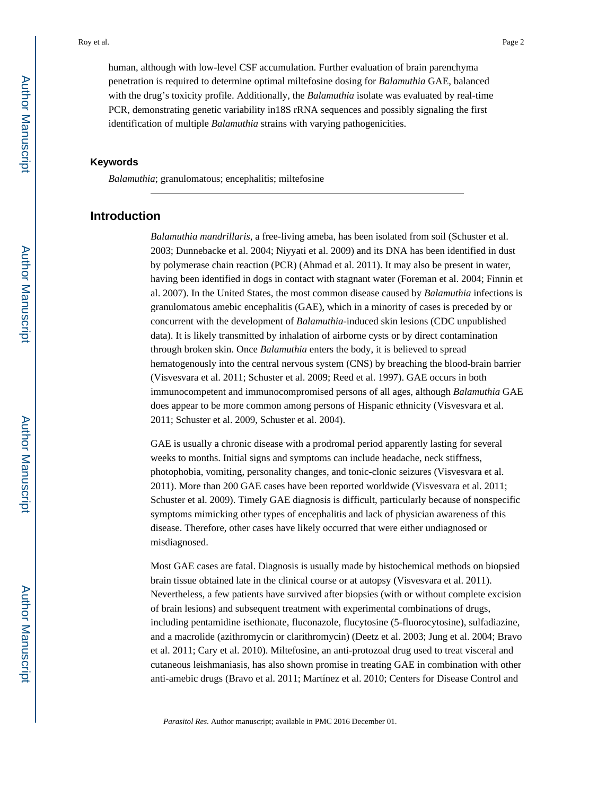human, although with low-level CSF accumulation. Further evaluation of brain parenchyma penetration is required to determine optimal miltefosine dosing for *Balamuthia* GAE, balanced with the drug's toxicity profile. Additionally, the *Balamuthia* isolate was evaluated by real-time PCR, demonstrating genetic variability in18S rRNA sequences and possibly signaling the first identification of multiple *Balamuthia* strains with varying pathogenicities.

## **Keywords**

*Balamuthia*; granulomatous; encephalitis; miltefosine

# **Introduction**

*Balamuthia mandrillaris*, a free-living ameba, has been isolated from soil (Schuster et al. 2003; Dunnebacke et al. 2004; Niyyati et al. 2009) and its DNA has been identified in dust by polymerase chain reaction (PCR) (Ahmad et al. 2011). It may also be present in water, having been identified in dogs in contact with stagnant water (Foreman et al. 2004; Finnin et al. 2007). In the United States, the most common disease caused by *Balamuthia* infections is granulomatous amebic encephalitis (GAE), which in a minority of cases is preceded by or concurrent with the development of *Balamuthia*-induced skin lesions (CDC unpublished data). It is likely transmitted by inhalation of airborne cysts or by direct contamination through broken skin. Once *Balamuthia* enters the body, it is believed to spread hematogenously into the central nervous system (CNS) by breaching the blood-brain barrier (Visvesvara et al. 2011; Schuster et al. 2009; Reed et al. 1997). GAE occurs in both immunocompetent and immunocompromised persons of all ages, although *Balamuthia* GAE does appear to be more common among persons of Hispanic ethnicity (Visvesvara et al. 2011; Schuster et al. 2009, Schuster et al. 2004).

GAE is usually a chronic disease with a prodromal period apparently lasting for several weeks to months. Initial signs and symptoms can include headache, neck stiffness, photophobia, vomiting, personality changes, and tonic-clonic seizures (Visvesvara et al. 2011). More than 200 GAE cases have been reported worldwide (Visvesvara et al. 2011; Schuster et al. 2009). Timely GAE diagnosis is difficult, particularly because of nonspecific symptoms mimicking other types of encephalitis and lack of physician awareness of this disease. Therefore, other cases have likely occurred that were either undiagnosed or misdiagnosed.

Most GAE cases are fatal. Diagnosis is usually made by histochemical methods on biopsied brain tissue obtained late in the clinical course or at autopsy (Visvesvara et al. 2011). Nevertheless, a few patients have survived after biopsies (with or without complete excision of brain lesions) and subsequent treatment with experimental combinations of drugs, including pentamidine isethionate, fluconazole, flucytosine (5-fluorocytosine), sulfadiazine, and a macrolide (azithromycin or clarithromycin) (Deetz et al. 2003; Jung et al. 2004; Bravo et al. 2011; Cary et al. 2010). Miltefosine, an anti-protozoal drug used to treat visceral and cutaneous leishmaniasis, has also shown promise in treating GAE in combination with other anti-amebic drugs (Bravo et al. 2011; Martínez et al. 2010; Centers for Disease Control and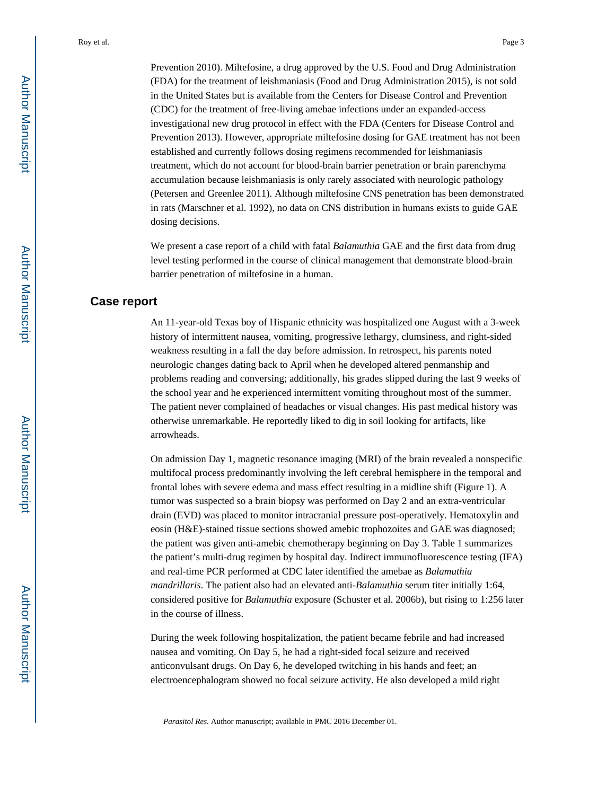Prevention 2010). Miltefosine, a drug approved by the U.S. Food and Drug Administration (FDA) for the treatment of leishmaniasis (Food and Drug Administration 2015), is not sold in the United States but is available from the Centers for Disease Control and Prevention (CDC) for the treatment of free-living amebae infections under an expanded-access investigational new drug protocol in effect with the FDA (Centers for Disease Control and Prevention 2013). However, appropriate miltefosine dosing for GAE treatment has not been established and currently follows dosing regimens recommended for leishmaniasis treatment, which do not account for blood-brain barrier penetration or brain parenchyma accumulation because leishmaniasis is only rarely associated with neurologic pathology (Petersen and Greenlee 2011). Although miltefosine CNS penetration has been demonstrated in rats (Marschner et al. 1992), no data on CNS distribution in humans exists to guide GAE dosing decisions.

We present a case report of a child with fatal *Balamuthia* GAE and the first data from drug level testing performed in the course of clinical management that demonstrate blood-brain barrier penetration of miltefosine in a human.

#### **Case report**

An 11-year-old Texas boy of Hispanic ethnicity was hospitalized one August with a 3-week history of intermittent nausea, vomiting, progressive lethargy, clumsiness, and right-sided weakness resulting in a fall the day before admission. In retrospect, his parents noted neurologic changes dating back to April when he developed altered penmanship and problems reading and conversing; additionally, his grades slipped during the last 9 weeks of the school year and he experienced intermittent vomiting throughout most of the summer. The patient never complained of headaches or visual changes. His past medical history was otherwise unremarkable. He reportedly liked to dig in soil looking for artifacts, like arrowheads.

On admission Day 1, magnetic resonance imaging (MRI) of the brain revealed a nonspecific multifocal process predominantly involving the left cerebral hemisphere in the temporal and frontal lobes with severe edema and mass effect resulting in a midline shift (Figure 1). A tumor was suspected so a brain biopsy was performed on Day 2 and an extra-ventricular drain (EVD) was placed to monitor intracranial pressure post-operatively. Hematoxylin and eosin (H&E)-stained tissue sections showed amebic trophozoites and GAE was diagnosed; the patient was given anti-amebic chemotherapy beginning on Day 3. Table 1 summarizes the patient's multi-drug regimen by hospital day. Indirect immunofluorescence testing (IFA) and real-time PCR performed at CDC later identified the amebae as *Balamuthia mandrillaris*. The patient also had an elevated anti-*Balamuthia* serum titer initially 1:64, considered positive for *Balamuthia* exposure (Schuster et al. 2006b), but rising to 1:256 later in the course of illness.

During the week following hospitalization, the patient became febrile and had increased nausea and vomiting. On Day 5, he had a right-sided focal seizure and received anticonvulsant drugs. On Day 6, he developed twitching in his hands and feet; an electroencephalogram showed no focal seizure activity. He also developed a mild right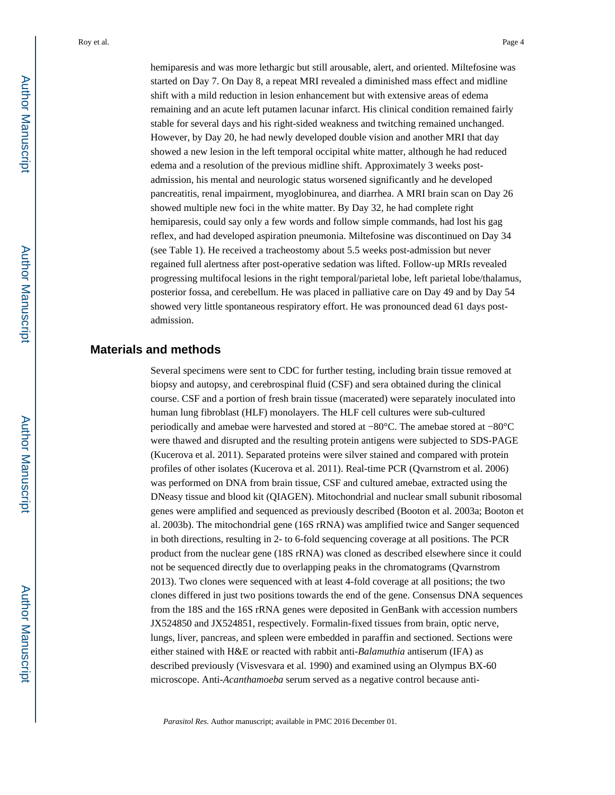hemiparesis and was more lethargic but still arousable, alert, and oriented. Miltefosine was started on Day 7. On Day 8, a repeat MRI revealed a diminished mass effect and midline shift with a mild reduction in lesion enhancement but with extensive areas of edema remaining and an acute left putamen lacunar infarct. His clinical condition remained fairly stable for several days and his right-sided weakness and twitching remained unchanged. However, by Day 20, he had newly developed double vision and another MRI that day showed a new lesion in the left temporal occipital white matter, although he had reduced edema and a resolution of the previous midline shift. Approximately 3 weeks postadmission, his mental and neurologic status worsened significantly and he developed pancreatitis, renal impairment, myoglobinurea, and diarrhea. A MRI brain scan on Day 26 showed multiple new foci in the white matter. By Day 32, he had complete right hemiparesis, could say only a few words and follow simple commands, had lost his gag reflex, and had developed aspiration pneumonia. Miltefosine was discontinued on Day 34 (see Table 1). He received a tracheostomy about 5.5 weeks post-admission but never regained full alertness after post-operative sedation was lifted. Follow-up MRIs revealed progressing multifocal lesions in the right temporal/parietal lobe, left parietal lobe/thalamus, posterior fossa, and cerebellum. He was placed in palliative care on Day 49 and by Day 54 showed very little spontaneous respiratory effort. He was pronounced dead 61 days postadmission.

## **Materials and methods**

Several specimens were sent to CDC for further testing, including brain tissue removed at biopsy and autopsy, and cerebrospinal fluid (CSF) and sera obtained during the clinical course. CSF and a portion of fresh brain tissue (macerated) were separately inoculated into human lung fibroblast (HLF) monolayers. The HLF cell cultures were sub-cultured periodically and amebae were harvested and stored at −80°C. The amebae stored at −80°C were thawed and disrupted and the resulting protein antigens were subjected to SDS-PAGE (Kucerova et al. 2011). Separated proteins were silver stained and compared with protein profiles of other isolates (Kucerova et al. 2011). Real-time PCR (Qvarnstrom et al. 2006) was performed on DNA from brain tissue, CSF and cultured amebae, extracted using the DNeasy tissue and blood kit (QIAGEN). Mitochondrial and nuclear small subunit ribosomal genes were amplified and sequenced as previously described (Booton et al. 2003a; Booton et al. 2003b). The mitochondrial gene (16S rRNA) was amplified twice and Sanger sequenced in both directions, resulting in 2- to 6-fold sequencing coverage at all positions. The PCR product from the nuclear gene (18S rRNA) was cloned as described elsewhere since it could not be sequenced directly due to overlapping peaks in the chromatograms (Qvarnstrom 2013). Two clones were sequenced with at least 4-fold coverage at all positions; the two clones differed in just two positions towards the end of the gene. Consensus DNA sequences from the 18S and the 16S rRNA genes were deposited in GenBank with accession numbers JX524850 and JX524851, respectively. Formalin-fixed tissues from brain, optic nerve, lungs, liver, pancreas, and spleen were embedded in paraffin and sectioned. Sections were either stained with H&E or reacted with rabbit anti-*Balamuthia* antiserum (IFA) as described previously (Visvesvara et al. 1990) and examined using an Olympus BX-60 microscope. Anti-*Acanthamoeba* serum served as a negative control because anti-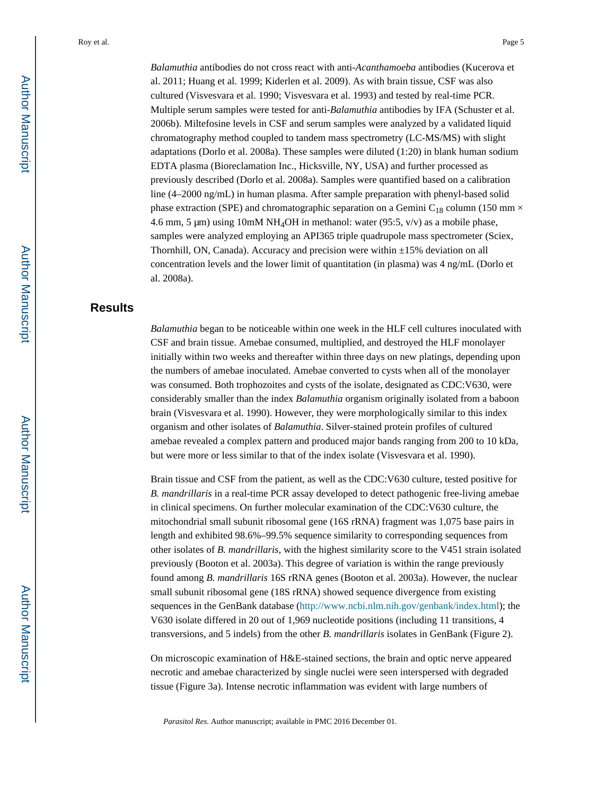*Balamuthia* antibodies do not cross react with anti-*Acanthamoeba* antibodies (Kucerova et al. 2011; Huang et al. 1999; Kiderlen et al. 2009). As with brain tissue, CSF was also cultured (Visvesvara et al. 1990; Visvesvara et al. 1993) and tested by real-time PCR. Multiple serum samples were tested for anti-*Balamuthia* antibodies by IFA (Schuster et al. 2006b). Miltefosine levels in CSF and serum samples were analyzed by a validated liquid chromatography method coupled to tandem mass spectrometry (LC-MS/MS) with slight adaptations (Dorlo et al. 2008a). These samples were diluted (1:20) in blank human sodium EDTA plasma (Bioreclamation Inc., Hicksville, NY, USA) and further processed as previously described (Dorlo et al. 2008a). Samples were quantified based on a calibration line (4–2000 ng/mL) in human plasma. After sample preparation with phenyl-based solid phase extraction (SPE) and chromatographic separation on a Gemini C<sub>18</sub> column (150 mm  $\times$ 4.6 mm, 5  $\mu$ m) using 10mM NH<sub>4</sub>OH in methanol: water (95:5, v/v) as a mobile phase, samples were analyzed employing an API365 triple quadrupole mass spectrometer (Sciex, Thornhill, ON, Canada). Accuracy and precision were within  $\pm 15\%$  deviation on all concentration levels and the lower limit of quantitation (in plasma) was 4 ng/mL (Dorlo et al. 2008a).

# **Results**

*Balamuthia* began to be noticeable within one week in the HLF cell cultures inoculated with CSF and brain tissue. Amebae consumed, multiplied, and destroyed the HLF monolayer initially within two weeks and thereafter within three days on new platings, depending upon the numbers of amebae inoculated. Amebae converted to cysts when all of the monolayer was consumed. Both trophozoites and cysts of the isolate, designated as CDC:V630, were considerably smaller than the index *Balamuthia* organism originally isolated from a baboon brain (Visvesvara et al. 1990). However, they were morphologically similar to this index organism and other isolates of *Balamuthia*. Silver-stained protein profiles of cultured amebae revealed a complex pattern and produced major bands ranging from 200 to 10 kDa, but were more or less similar to that of the index isolate (Visvesvara et al. 1990).

Brain tissue and CSF from the patient, as well as the CDC:V630 culture, tested positive for *B. mandrillaris* in a real-time PCR assay developed to detect pathogenic free-living amebae in clinical specimens. On further molecular examination of the CDC:V630 culture, the mitochondrial small subunit ribosomal gene (16S rRNA) fragment was 1,075 base pairs in length and exhibited 98.6%–99.5% sequence similarity to corresponding sequences from other isolates of *B. mandrillaris*, with the highest similarity score to the V451 strain isolated previously (Booton et al. 2003a). This degree of variation is within the range previously found among *B. mandrillaris* 16S rRNA genes (Booton et al. 2003a). However, the nuclear small subunit ribosomal gene (18S rRNA) showed sequence divergence from existing sequences in the GenBank database (<http://www.ncbi.nlm.nih.gov/genbank/index.html>); the V630 isolate differed in 20 out of 1,969 nucleotide positions (including 11 transitions, 4 transversions, and 5 indels) from the other *B. mandrillaris* isolates in GenBank (Figure 2).

On microscopic examination of H&E-stained sections, the brain and optic nerve appeared necrotic and amebae characterized by single nuclei were seen interspersed with degraded tissue (Figure 3a). Intense necrotic inflammation was evident with large numbers of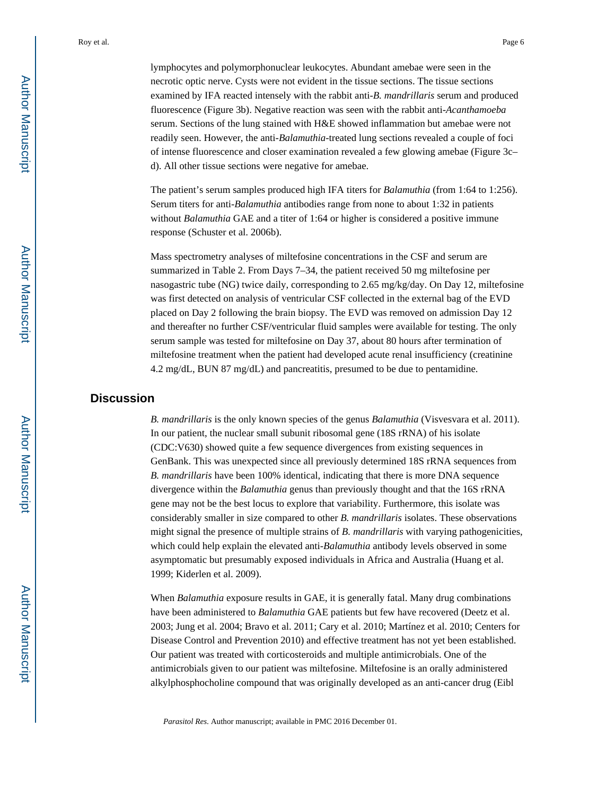lymphocytes and polymorphonuclear leukocytes. Abundant amebae were seen in the necrotic optic nerve. Cysts were not evident in the tissue sections. The tissue sections examined by IFA reacted intensely with the rabbit anti-*B. mandrillaris* serum and produced fluorescence (Figure 3b). Negative reaction was seen with the rabbit anti-*Acanthamoeba*  serum. Sections of the lung stained with H&E showed inflammation but amebae were not readily seen. However, the anti-*Balamuthia*-treated lung sections revealed a couple of foci of intense fluorescence and closer examination revealed a few glowing amebae (Figure 3c– d). All other tissue sections were negative for amebae.

The patient's serum samples produced high IFA titers for *Balamuthia* (from 1:64 to 1:256). Serum titers for anti-*Balamuthia* antibodies range from none to about 1:32 in patients without *Balamuthia* GAE and a titer of 1:64 or higher is considered a positive immune response (Schuster et al. 2006b).

Mass spectrometry analyses of miltefosine concentrations in the CSF and serum are summarized in Table 2. From Days 7–34, the patient received 50 mg miltefosine per nasogastric tube (NG) twice daily, corresponding to 2.65 mg/kg/day. On Day 12, miltefosine was first detected on analysis of ventricular CSF collected in the external bag of the EVD placed on Day 2 following the brain biopsy. The EVD was removed on admission Day 12 and thereafter no further CSF/ventricular fluid samples were available for testing. The only serum sample was tested for miltefosine on Day 37, about 80 hours after termination of miltefosine treatment when the patient had developed acute renal insufficiency (creatinine 4.2 mg/dL, BUN 87 mg/dL) and pancreatitis, presumed to be due to pentamidine.

# **Discussion**

*B. mandrillaris* is the only known species of the genus *Balamuthia* (Visvesvara et al. 2011). In our patient, the nuclear small subunit ribosomal gene (18S rRNA) of his isolate (CDC:V630) showed quite a few sequence divergences from existing sequences in GenBank. This was unexpected since all previously determined 18S rRNA sequences from *B. mandrillaris* have been 100% identical, indicating that there is more DNA sequence divergence within the *Balamuthia* genus than previously thought and that the 16S rRNA gene may not be the best locus to explore that variability. Furthermore, this isolate was considerably smaller in size compared to other *B. mandrillaris* isolates. These observations might signal the presence of multiple strains of *B. mandrillaris* with varying pathogenicities, which could help explain the elevated anti-*Balamuthia* antibody levels observed in some asymptomatic but presumably exposed individuals in Africa and Australia (Huang et al. 1999; Kiderlen et al. 2009).

When *Balamuthia* exposure results in GAE, it is generally fatal. Many drug combinations have been administered to *Balamuthia* GAE patients but few have recovered (Deetz et al. 2003; Jung et al. 2004; Bravo et al. 2011; Cary et al. 2010; Martínez et al. 2010; Centers for Disease Control and Prevention 2010) and effective treatment has not yet been established. Our patient was treated with corticosteroids and multiple antimicrobials. One of the antimicrobials given to our patient was miltefosine. Miltefosine is an orally administered alkylphosphocholine compound that was originally developed as an anti-cancer drug (Eibl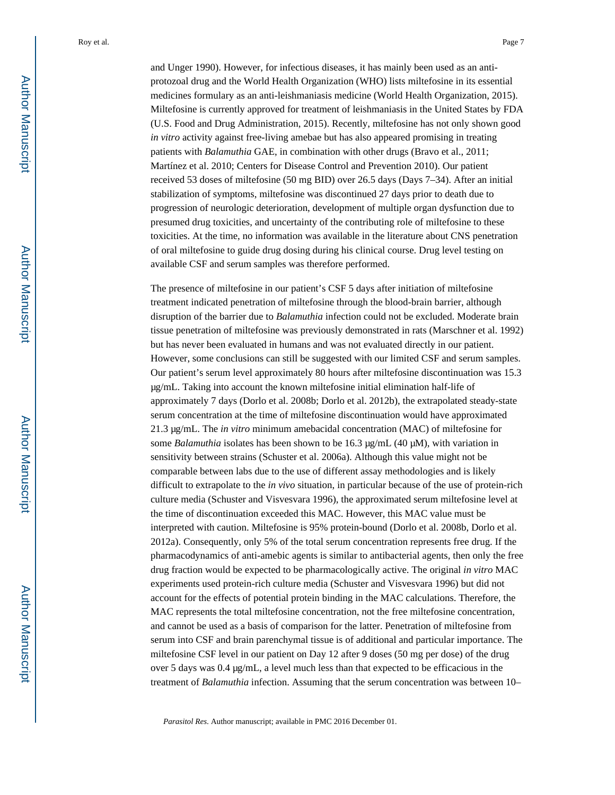and Unger 1990). However, for infectious diseases, it has mainly been used as an antiprotozoal drug and the World Health Organization (WHO) lists miltefosine in its essential medicines formulary as an anti-leishmaniasis medicine (World Health Organization, 2015). Miltefosine is currently approved for treatment of leishmaniasis in the United States by FDA (U.S. Food and Drug Administration, 2015). Recently, miltefosine has not only shown good *in vitro* activity against free-living amebae but has also appeared promising in treating patients with *Balamuthia* GAE, in combination with other drugs (Bravo et al., 2011; Martínez et al. 2010; Centers for Disease Control and Prevention 2010). Our patient received 53 doses of miltefosine (50 mg BID) over 26.5 days (Days 7–34). After an initial stabilization of symptoms, miltefosine was discontinued 27 days prior to death due to progression of neurologic deterioration, development of multiple organ dysfunction due to presumed drug toxicities, and uncertainty of the contributing role of miltefosine to these toxicities. At the time, no information was available in the literature about CNS penetration of oral miltefosine to guide drug dosing during his clinical course. Drug level testing on available CSF and serum samples was therefore performed.

The presence of miltefosine in our patient's CSF 5 days after initiation of miltefosine treatment indicated penetration of miltefosine through the blood-brain barrier, although disruption of the barrier due to *Balamuthia* infection could not be excluded. Moderate brain tissue penetration of miltefosine was previously demonstrated in rats (Marschner et al. 1992) but has never been evaluated in humans and was not evaluated directly in our patient. However, some conclusions can still be suggested with our limited CSF and serum samples. Our patient's serum level approximately 80 hours after miltefosine discontinuation was 15.3 μg/mL. Taking into account the known miltefosine initial elimination half-life of approximately 7 days (Dorlo et al. 2008b; Dorlo et al. 2012b), the extrapolated steady-state serum concentration at the time of miltefosine discontinuation would have approximated 21.3 μg/mL. The *in vitro* minimum amebacidal concentration (MAC) of miltefosine for some *Balamuthia* isolates has been shown to be 16.3 μg/mL (40 μM), with variation in sensitivity between strains (Schuster et al. 2006a). Although this value might not be comparable between labs due to the use of different assay methodologies and is likely difficult to extrapolate to the *in vivo* situation, in particular because of the use of protein-rich culture media (Schuster and Visvesvara 1996), the approximated serum miltefosine level at the time of discontinuation exceeded this MAC. However, this MAC value must be interpreted with caution. Miltefosine is 95% protein-bound (Dorlo et al. 2008b, Dorlo et al. 2012a). Consequently, only 5% of the total serum concentration represents free drug. If the pharmacodynamics of anti-amebic agents is similar to antibacterial agents, then only the free drug fraction would be expected to be pharmacologically active. The original *in vitro* MAC experiments used protein-rich culture media (Schuster and Visvesvara 1996) but did not account for the effects of potential protein binding in the MAC calculations. Therefore, the MAC represents the total miltefosine concentration, not the free miltefosine concentration, and cannot be used as a basis of comparison for the latter. Penetration of miltefosine from serum into CSF and brain parenchymal tissue is of additional and particular importance. The miltefosine CSF level in our patient on Day 12 after 9 doses (50 mg per dose) of the drug over 5 days was 0.4 μg/mL, a level much less than that expected to be efficacious in the treatment of *Balamuthia* infection. Assuming that the serum concentration was between 10–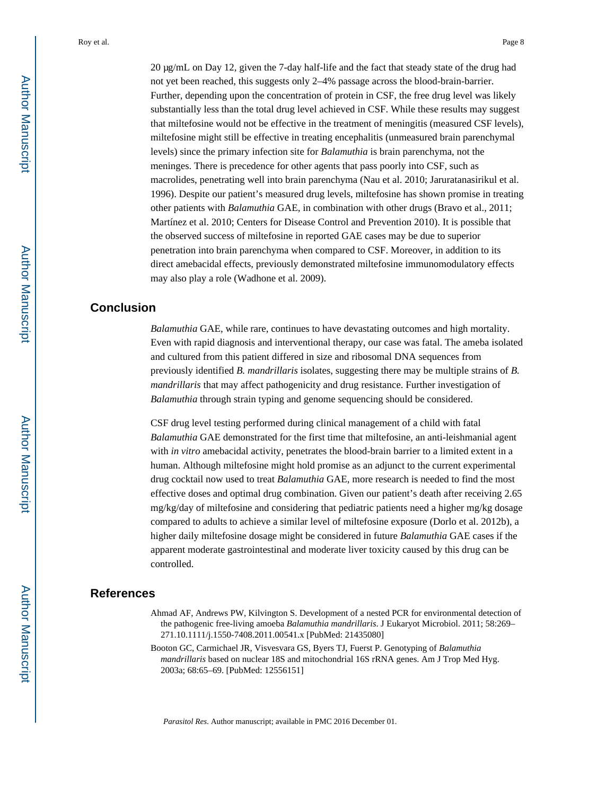20 μg/mL on Day 12, given the 7-day half-life and the fact that steady state of the drug had not yet been reached, this suggests only 2–4% passage across the blood-brain-barrier. Further, depending upon the concentration of protein in CSF, the free drug level was likely substantially less than the total drug level achieved in CSF. While these results may suggest that miltefosine would not be effective in the treatment of meningitis (measured CSF levels), miltefosine might still be effective in treating encephalitis (unmeasured brain parenchymal levels) since the primary infection site for *Balamuthia* is brain parenchyma, not the meninges. There is precedence for other agents that pass poorly into CSF, such as macrolides, penetrating well into brain parenchyma (Nau et al. 2010; Jaruratanasirikul et al. 1996). Despite our patient's measured drug levels, miltefosine has shown promise in treating other patients with *Balamuthia* GAE, in combination with other drugs (Bravo et al., 2011; Martínez et al. 2010; Centers for Disease Control and Prevention 2010). It is possible that the observed success of miltefosine in reported GAE cases may be due to superior penetration into brain parenchyma when compared to CSF. Moreover, in addition to its direct amebacidal effects, previously demonstrated miltefosine immunomodulatory effects may also play a role (Wadhone et al. 2009).

## **Conclusion**

*Balamuthia* GAE, while rare, continues to have devastating outcomes and high mortality. Even with rapid diagnosis and interventional therapy, our case was fatal. The ameba isolated and cultured from this patient differed in size and ribosomal DNA sequences from previously identified *B. mandrillaris* isolates, suggesting there may be multiple strains of *B. mandrillaris* that may affect pathogenicity and drug resistance. Further investigation of *Balamuthia* through strain typing and genome sequencing should be considered.

CSF drug level testing performed during clinical management of a child with fatal *Balamuthia* GAE demonstrated for the first time that miltefosine, an anti-leishmanial agent with *in vitro* amebacidal activity, penetrates the blood-brain barrier to a limited extent in a human. Although miltefosine might hold promise as an adjunct to the current experimental drug cocktail now used to treat *Balamuthia* GAE, more research is needed to find the most effective doses and optimal drug combination. Given our patient's death after receiving 2.65 mg/kg/day of miltefosine and considering that pediatric patients need a higher mg/kg dosage compared to adults to achieve a similar level of miltefosine exposure (Dorlo et al. 2012b), a higher daily miltefosine dosage might be considered in future *Balamuthia* GAE cases if the apparent moderate gastrointestinal and moderate liver toxicity caused by this drug can be controlled.

# **References**

- Ahmad AF, Andrews PW, Kilvington S. Development of a nested PCR for environmental detection of the pathogenic free-living amoeba *Balamuthia mandrillaris*. J Eukaryot Microbiol. 2011; 58:269– 271.10.1111/j.1550-7408.2011.00541.x [PubMed: 21435080]
- Booton GC, Carmichael JR, Visvesvara GS, Byers TJ, Fuerst P. Genotyping of *Balamuthia mandrillaris* based on nuclear 18S and mitochondrial 16S rRNA genes. Am J Trop Med Hyg. 2003a; 68:65–69. [PubMed: 12556151]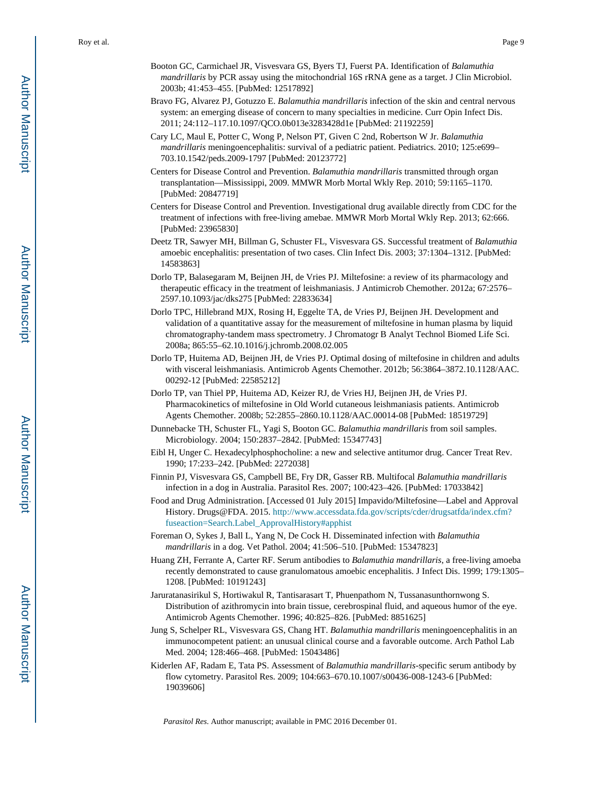- Booton GC, Carmichael JR, Visvesvara GS, Byers TJ, Fuerst PA. Identification of *Balamuthia mandrillaris* by PCR assay using the mitochondrial 16S rRNA gene as a target. J Clin Microbiol. 2003b; 41:453–455. [PubMed: 12517892]
- Bravo FG, Alvarez PJ, Gotuzzo E. *Balamuthia mandrillaris* infection of the skin and central nervous system: an emerging disease of concern to many specialties in medicine. Curr Opin Infect Dis. 2011; 24:112–117.10.1097/QCO.0b013e3283428d1e [PubMed: 21192259]
- Cary LC, Maul E, Potter C, Wong P, Nelson PT, Given C 2nd, Robertson W Jr. *Balamuthia mandrillaris* meningoencephalitis: survival of a pediatric patient. Pediatrics. 2010; 125:e699– 703.10.1542/peds.2009-1797 [PubMed: 20123772]
- Centers for Disease Control and Prevention. *Balamuthia mandrillaris* transmitted through organ transplantation—Mississippi, 2009. MMWR Morb Mortal Wkly Rep. 2010; 59:1165–1170. [PubMed: 20847719]
- Centers for Disease Control and Prevention. Investigational drug available directly from CDC for the treatment of infections with free-living amebae. MMWR Morb Mortal Wkly Rep. 2013; 62:666. [PubMed: 23965830]
- Deetz TR, Sawyer MH, Billman G, Schuster FL, Visvesvara GS. Successful treatment of *Balamuthia*  amoebic encephalitis: presentation of two cases. Clin Infect Dis. 2003; 37:1304–1312. [PubMed: 14583863]
- Dorlo TP, Balasegaram M, Beijnen JH, de Vries PJ. Miltefosine: a review of its pharmacology and therapeutic efficacy in the treatment of leishmaniasis. J Antimicrob Chemother. 2012a; 67:2576– 2597.10.1093/jac/dks275 [PubMed: 22833634]
- Dorlo TPC, Hillebrand MJX, Rosing H, Eggelte TA, de Vries PJ, Beijnen JH. Development and validation of a quantitative assay for the measurement of miltefosine in human plasma by liquid chromatography-tandem mass spectrometry. J Chromatogr B Analyt Technol Biomed Life Sci. 2008a; 865:55–62.10.1016/j.jchromb.2008.02.005
- Dorlo TP, Huitema AD, Beijnen JH, de Vries PJ. Optimal dosing of miltefosine in children and adults with visceral leishmaniasis. Antimicrob Agents Chemother. 2012b; 56:3864–3872.10.1128/AAC. 00292-12 [PubMed: 22585212]
- Dorlo TP, van Thiel PP, Huitema AD, Keizer RJ, de Vries HJ, Beijnen JH, de Vries PJ. Pharmacokinetics of miltefosine in Old World cutaneous leishmaniasis patients. Antimicrob Agents Chemother. 2008b; 52:2855–2860.10.1128/AAC.00014-08 [PubMed: 18519729]
- Dunnebacke TH, Schuster FL, Yagi S, Booton GC. *Balamuthia mandrillaris* from soil samples. Microbiology. 2004; 150:2837–2842. [PubMed: 15347743]
- Eibl H, Unger C. Hexadecylphosphocholine: a new and selective antitumor drug. Cancer Treat Rev. 1990; 17:233–242. [PubMed: 2272038]
- Finnin PJ, Visvesvara GS, Campbell BE, Fry DR, Gasser RB. Multifocal *Balamuthia mandrillaris*  infection in a dog in Australia. Parasitol Res. 2007; 100:423–426. [PubMed: 17033842]
- Food and Drug Administration. [Accessed 01 July 2015] Impavido/Miltefosine—Label and Approval History. Drugs@FDA. 2015. [http://www.accessdata.fda.gov/scripts/cder/drugsatfda/index.cfm?](http://www.accessdata.fda.gov/scripts/cder/drugsatfda/index.cfm?fuseaction=Search.Label_ApprovalHistory#apphist) [fuseaction=Search.Label\\_ApprovalHistory#apphist](http://www.accessdata.fda.gov/scripts/cder/drugsatfda/index.cfm?fuseaction=Search.Label_ApprovalHistory#apphist)
- Foreman O, Sykes J, Ball L, Yang N, De Cock H. Disseminated infection with *Balamuthia mandrillaris* in a dog. Vet Pathol. 2004; 41:506–510. [PubMed: 15347823]
- Huang ZH, Ferrante A, Carter RF. Serum antibodies to *Balamuthia mandrillaris*, a free-living amoeba recently demonstrated to cause granulomatous amoebic encephalitis. J Infect Dis. 1999; 179:1305– 1208. [PubMed: 10191243]
- Jaruratanasirikul S, Hortiwakul R, Tantisarasart T, Phuenpathom N, Tussanasunthornwong S. Distribution of azithromycin into brain tissue, cerebrospinal fluid, and aqueous humor of the eye. Antimicrob Agents Chemother. 1996; 40:825–826. [PubMed: 8851625]
- Jung S, Schelper RL, Visvesvara GS, Chang HT. *Balamuthia mandrillaris* meningoencephalitis in an immunocompetent patient: an unusual clinical course and a favorable outcome. Arch Pathol Lab Med. 2004; 128:466–468. [PubMed: 15043486]
- Kiderlen AF, Radam E, Tata PS. Assessment of *Balamuthia mandrillaris*-specific serum antibody by flow cytometry. Parasitol Res. 2009; 104:663–670.10.1007/s00436-008-1243-6 [PubMed: 19039606]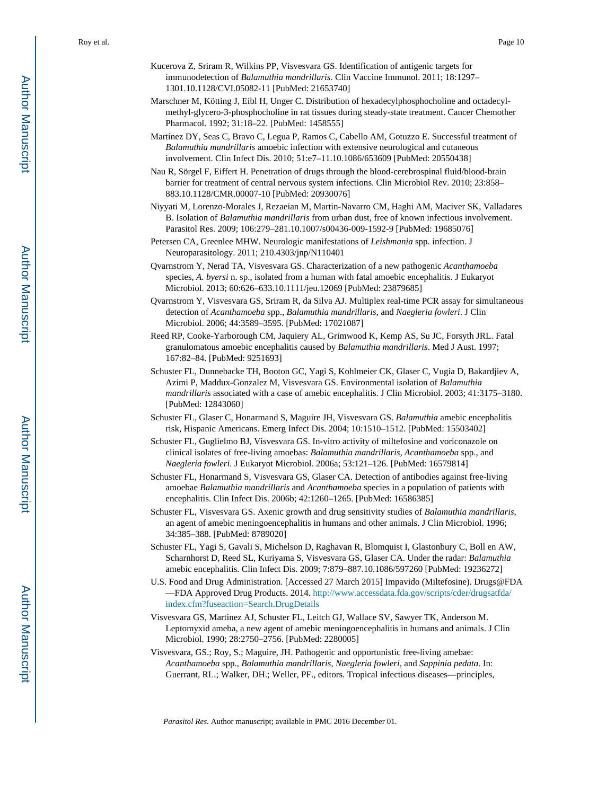- Kucerova Z, Sriram R, Wilkins PP, Visvesvara GS. Identification of antigenic targets for immunodetection of *Balamuthia mandrillaris*. Clin Vaccine Immunol. 2011; 18:1297– 1301.10.1128/CVI.05082-11 [PubMed: 21653740]
- Marschner M, Kötting J, Eibl H, Unger C. Distribution of hexadecylphosphocholine and octadecylmethyl-glycero-3-phosphocholine in rat tissues during steady-state treatment. Cancer Chemother Pharmacol. 1992; 31:18–22. [PubMed: 1458555]
- Martínez DY, Seas C, Bravo C, Legua P, Ramos C, Cabello AM, Gotuzzo E. Successful treatment of *Balamuthia mandrillaris* amoebic infection with extensive neurological and cutaneous involvement. Clin Infect Dis. 2010; 51:e7–11.10.1086/653609 [PubMed: 20550438]
- Nau R, Sörgel F, Eiffert H. Penetration of drugs through the blood-cerebrospinal fluid/blood-brain barrier for treatment of central nervous system infections. Clin Microbiol Rev. 2010; 23:858– 883.10.1128/CMR.00007-10 [PubMed: 20930076]
- Niyyati M, Lorenzo-Morales J, Rezaeian M, Martin-Navarro CM, Haghi AM, Maciver SK, Valladares B. Isolation of *Balamuthia mandrillaris* from urban dust, free of known infectious involvement. Parasitol Res. 2009; 106:279–281.10.1007/s00436-009-1592-9 [PubMed: 19685076]
- Petersen CA, Greenlee MHW. Neurologic manifestations of *Leishmania* spp. infection. J Neuroparasitology. 2011; 210.4303/jnp/N110401
- Qvarnstrom Y, Nerad TA, Visvesvara GS. Characterization of a new pathogenic *Acanthamoeba*  species, *A. byersi* n. sp., isolated from a human with fatal amoebic encephalitis. J Eukaryot Microbiol. 2013; 60:626–633.10.1111/jeu.12069 [PubMed: 23879685]
- Qvarnstrom Y, Visvesvara GS, Sriram R, da Silva AJ. Multiplex real-time PCR assay for simultaneous detection of *Acanthamoeba* spp., *Balamuthia mandrillaris*, and *Naegleria fowleri*. J Clin Microbiol. 2006; 44:3589–3595. [PubMed: 17021087]
- Reed RP, Cooke-Yarborough CM, Jaquiery AL, Grimwood K, Kemp AS, Su JC, Forsyth JRL. Fatal granulomatous amoebic encephalitis caused by *Balamuthia mandrillaris*. Med J Aust. 1997; 167:82–84. [PubMed: 9251693]
- Schuster FL, Dunnebacke TH, Booton GC, Yagi S, Kohlmeier CK, Glaser C, Vugia D, Bakardjiev A, Azimi P, Maddux-Gonzalez M, Visvesvara GS. Environmental isolation of *Balamuthia mandrillaris* associated with a case of amebic encephalitis. J Clin Microbiol. 2003; 41:3175–3180. [PubMed: 12843060]
- Schuster FL, Glaser C, Honarmand S, Maguire JH, Visvesvara GS. *Balamuthia* amebic encephalitis risk, Hispanic Americans. Emerg Infect Dis. 2004; 10:1510–1512. [PubMed: 15503402]
- Schuster FL, Guglielmo BJ, Visvesvara GS. In-vitro activity of miltefosine and voriconazole on clinical isolates of free-living amoebas: *Balamuthia mandrillaris, Acanthamoeba* spp., and *Naegleria fowleri*. J Eukaryot Microbiol. 2006a; 53:121–126. [PubMed: 16579814]
- Schuster FL, Honarmand S, Visvesvara GS, Glaser CA. Detection of antibodies against free-living amoebae *Balamuthia mandrillaris* and *Acanthamoeba* species in a population of patients with encephalitis. Clin Infect Dis. 2006b; 42:1260–1265. [PubMed: 16586385]
- Schuster FL, Visvesvara GS. Axenic growth and drug sensitivity studies of *Balamuthia mandrillaris*, an agent of amebic meningoencephalitis in humans and other animals. J Clin Microbiol. 1996; 34:385–388. [PubMed: 8789020]
- Schuster FL, Yagi S, Gavali S, Michelson D, Raghavan R, Blomquist I, Glastonbury C, Boll en AW, Scharnhorst D, Reed SL, Kuriyama S, Visvesvara GS, Glaser CA. Under the radar: *Balamuthia*  amebic encephalitis. Clin Infect Dis. 2009; 7:879–887.10.1086/597260 [PubMed: 19236272]
- U.S. Food and Drug Administration. [Accessed 27 March 2015] Impavido (Miltefosine). Drugs@FDA —FDA Approved Drug Products. 2014. [http://www.accessdata.fda.gov/scripts/cder/drugsatfda/](http://www.accessdata.fda.gov/scripts/cder/drugsatfda/index.cfm?fuseaction=Search.DrugDetails) [index.cfm?fuseaction=Search.DrugDetails](http://www.accessdata.fda.gov/scripts/cder/drugsatfda/index.cfm?fuseaction=Search.DrugDetails)
- Visvesvara GS, Martinez AJ, Schuster FL, Leitch GJ, Wallace SV, Sawyer TK, Anderson M. Leptomyxid ameba, a new agent of amebic meningoencephalitis in humans and animals. J Clin Microbiol. 1990; 28:2750–2756. [PubMed: 2280005]
- Visvesvara, GS.; Roy, S.; Maguire, JH. Pathogenic and opportunistic free-living amebae: *Acanthamoeba* spp., *Balamuthia mandrillaris*, *Naegleria fowleri*, and *Sappinia pedata*. In: Guerrant, RL.; Walker, DH.; Weller, PF., editors. Tropical infectious diseases—principles,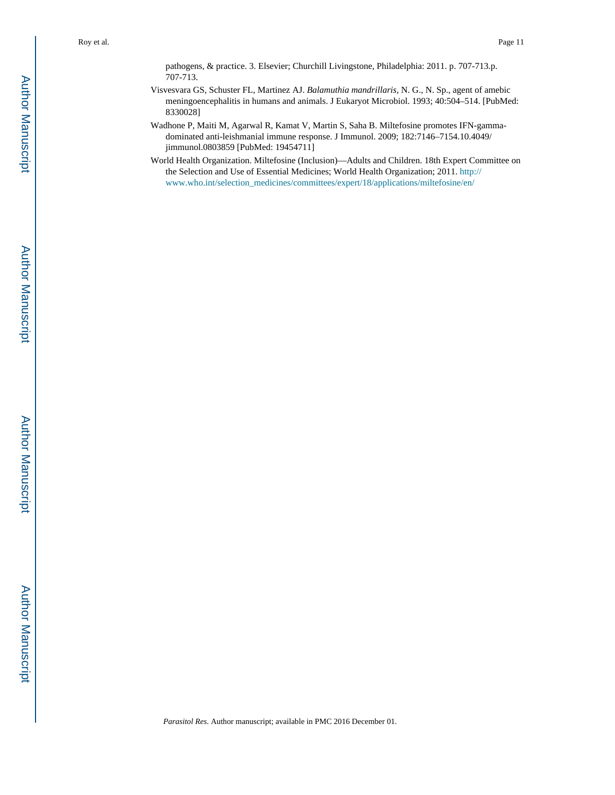pathogens, & practice. 3. Elsevier; Churchill Livingstone, Philadelphia: 2011. p. 707-713.p. 707-713.

- Visvesvara GS, Schuster FL, Martinez AJ. *Balamuthia mandrillaris*, N. G., N. Sp., agent of amebic meningoencephalitis in humans and animals. J Eukaryot Microbiol. 1993; 40:504–514. [PubMed: 8330028]
- Wadhone P, Maiti M, Agarwal R, Kamat V, Martin S, Saha B. Miltefosine promotes IFN-gammadominated anti-leishmanial immune response. J Immunol. 2009; 182:7146–7154.10.4049/ jimmunol.0803859 [PubMed: 19454711]
- World Health Organization. Miltefosine (Inclusion)—Adults and Children. 18th Expert Committee on the Selection and Use of Essential Medicines; World Health Organization; 2011. [http://](http://www.who.int/selection_medicines/committees/expert/18/applications/miltefosine/en/) [www.who.int/selection\\_medicines/committees/expert/18/applications/miltefosine/en/](http://www.who.int/selection_medicines/committees/expert/18/applications/miltefosine/en/)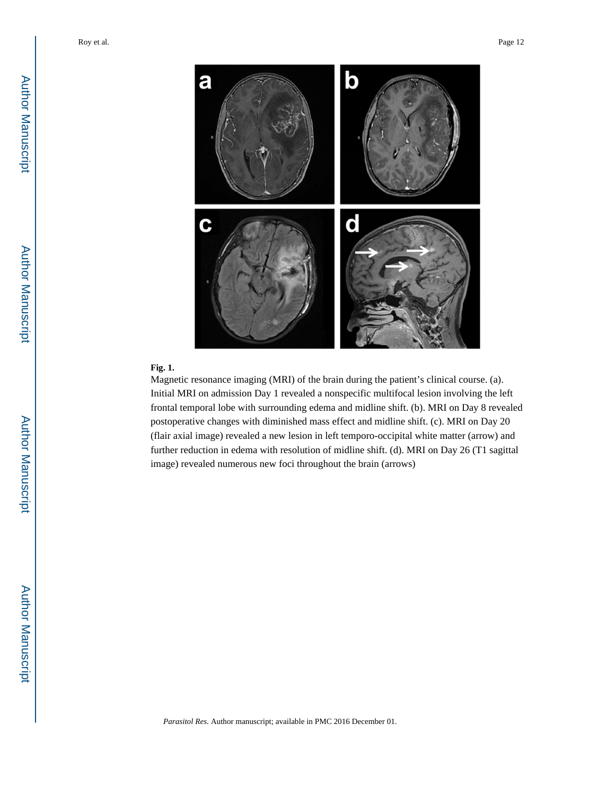

#### **Fig. 1.**

Magnetic resonance imaging (MRI) of the brain during the patient's clinical course. (a). Initial MRI on admission Day 1 revealed a nonspecific multifocal lesion involving the left frontal temporal lobe with surrounding edema and midline shift. (b). MRI on Day 8 revealed postoperative changes with diminished mass effect and midline shift. (c). MRI on Day 20 (flair axial image) revealed a new lesion in left temporo-occipital white matter (arrow) and further reduction in edema with resolution of midline shift. (d). MRI on Day 26 (T1 sagittal image) revealed numerous new foci throughout the brain (arrows)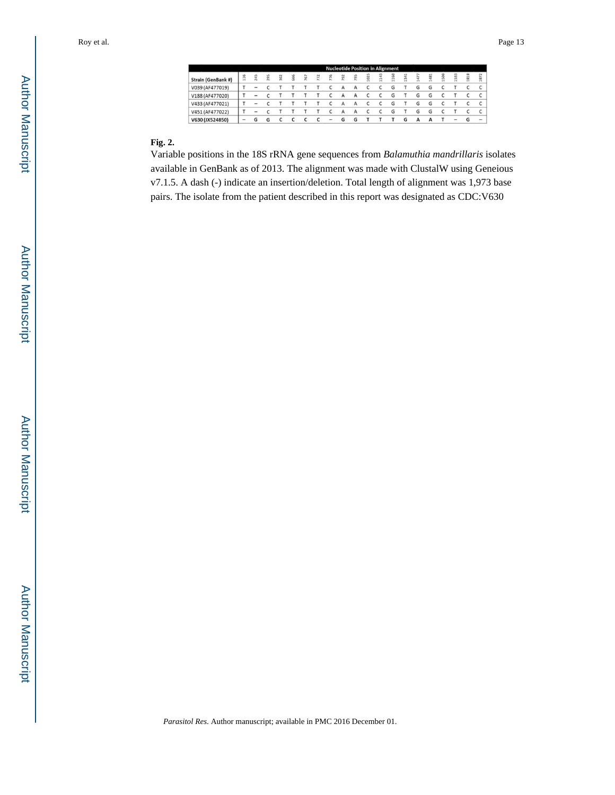|                    |                          |                          |     |               |      |     |                 |                          |     |     |                |     | <b>Nucleotide Position in Alignment</b> |        |   |               |    |      |      |                          |
|--------------------|--------------------------|--------------------------|-----|---------------|------|-----|-----------------|--------------------------|-----|-----|----------------|-----|-----------------------------------------|--------|---|---------------|----|------|------|--------------------------|
| Strain (GenBank #) | 116                      | 245                      | 295 | $\frac{2}{2}$ | \$66 | 767 | $\overline{12}$ | 776                      | 792 | P95 | $\ddot{\rm s}$ | 143 | 1160                                    | 뮥<br>ñ | ₽ | $\frac{8}{4}$ | 58 | 1533 | 1818 | 1872                     |
| V039 (AF477019)    |                          |                          |     |               |      |     |                 |                          |     |     |                |     |                                         |        | G | G             |    |      |      |                          |
| V188 (AF477020)    |                          | -                        |     |               |      |     |                 |                          |     |     |                |     | G                                       |        | G | G             |    |      |      |                          |
| V433 (AF477021)    |                          |                          |     |               |      |     |                 |                          | А   | А   |                |     | G                                       |        | G | G             |    |      |      |                          |
| V451 (AF477022)    |                          | $\overline{\phantom{a}}$ |     |               |      |     |                 |                          |     |     |                |     | G                                       |        | G | G             |    |      |      |                          |
| V630 (JX524850)    | $\overline{\phantom{a}}$ |                          | G   |               |      |     |                 | $\overline{\phantom{a}}$ | G   | G   |                |     |                                         | G      |   |               |    |      |      | $\overline{\phantom{a}}$ |

#### **Fig. 2.**

Variable positions in the 18S rRNA gene sequences from *Balamuthia mandrillaris* isolates available in GenBank as of 2013. The alignment was made with ClustalW using Geneious v7.1.5. A dash (-) indicate an insertion/deletion. Total length of alignment was 1,973 base pairs. The isolate from the patient described in this report was designated as CDC:V630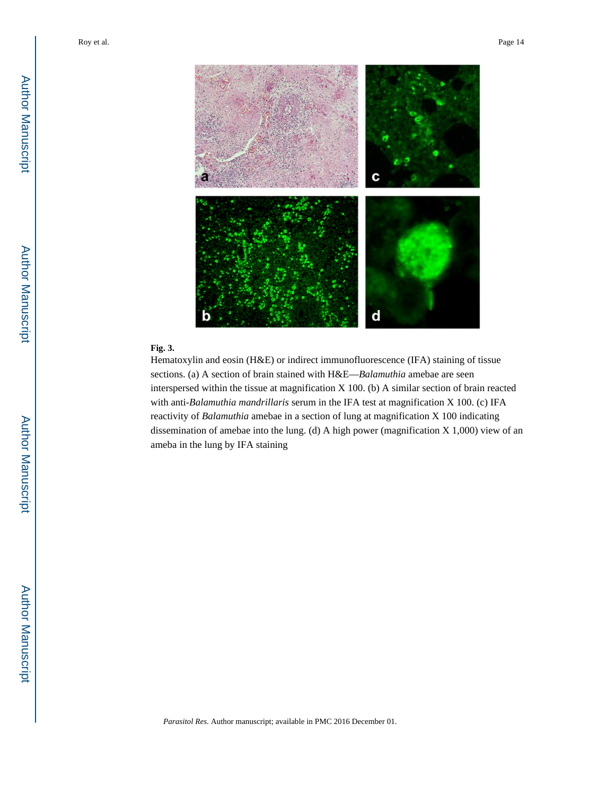

# **Fig. 3.**

Hematoxylin and eosin (H&E) or indirect immunofluorescence (IFA) staining of tissue sections. (a) A section of brain stained with H&E—*Balamuthia* amebae are seen interspersed within the tissue at magnification X 100. (b) A similar section of brain reacted with anti-*Balamuthia mandrillaris* serum in the IFA test at magnification X 100. (c) IFA reactivity of *Balamuthia* amebae in a section of lung at magnification X 100 indicating dissemination of amebae into the lung. (d) A high power (magnification X 1,000) view of an ameba in the lung by IFA staining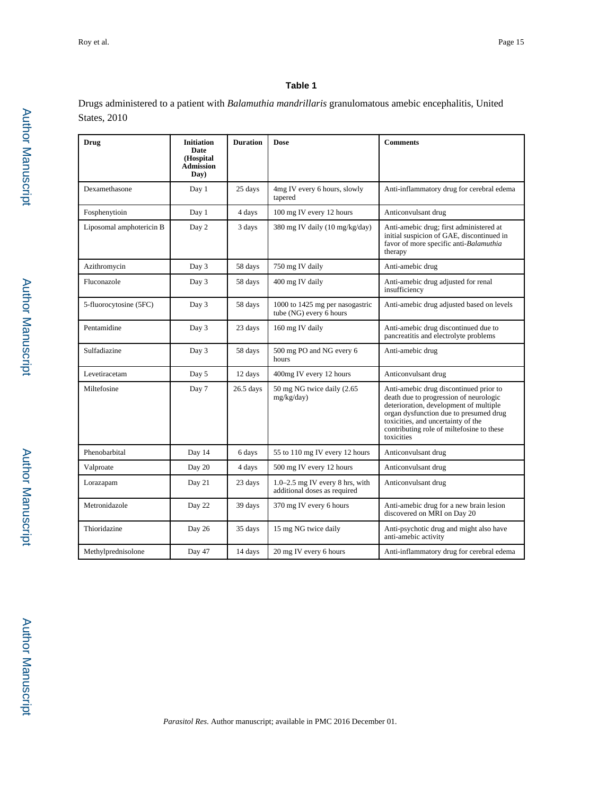## **Table 1**

Drugs administered to a patient with *Balamuthia mandrillaris* granulomatous amebic encephalitis, United States, 2010

| Drug                              | <b>Initiation</b><br>Date<br>(Hospital<br><b>Admission</b><br>Day) | <b>Duration</b> | <b>Dose</b>                                                         | <b>Comments</b>                                                                                                                                                                                                                                                       |  |  |  |
|-----------------------------------|--------------------------------------------------------------------|-----------------|---------------------------------------------------------------------|-----------------------------------------------------------------------------------------------------------------------------------------------------------------------------------------------------------------------------------------------------------------------|--|--|--|
| Dexamethasone                     | Day 1                                                              | 25 days         | 4mg IV every 6 hours, slowly<br>tapered                             | Anti-inflammatory drug for cerebral edema                                                                                                                                                                                                                             |  |  |  |
| Fosphenytioin                     | Day 1                                                              | 4 days          | 100 mg IV every 12 hours                                            | Anticonvulsant drug                                                                                                                                                                                                                                                   |  |  |  |
| Liposomal amphotericin B<br>Day 2 |                                                                    | 3 days          | 380 mg IV daily (10 mg/kg/day)                                      | Anti-amebic drug; first administered at<br>initial suspicion of GAE, discontinued in<br>favor of more specific anti-Balamuthia<br>therapy                                                                                                                             |  |  |  |
| Azithromycin                      | Day 3                                                              | 58 days         | 750 mg IV daily                                                     | Anti-amebic drug                                                                                                                                                                                                                                                      |  |  |  |
| Fluconazole                       | Day 3                                                              | 58 days         | 400 mg IV daily                                                     | Anti-amebic drug adjusted for renal<br>insufficiency                                                                                                                                                                                                                  |  |  |  |
| 5-fluorocytosine (5FC)            | Day 3                                                              |                 | 1000 to 1425 mg per nasogastric<br>tube (NG) every 6 hours          | Anti-amebic drug adjusted based on levels                                                                                                                                                                                                                             |  |  |  |
| Pentamidine                       | Day 3                                                              | 23 days         | 160 mg IV daily                                                     | Anti-amebic drug discontinued due to<br>pancreatitis and electrolyte problems                                                                                                                                                                                         |  |  |  |
| Sulfadiazine                      | Day 3                                                              | 58 days         | 500 mg PO and NG every 6<br>hours                                   | Anti-amebic drug                                                                                                                                                                                                                                                      |  |  |  |
| Levetiracetam                     | Day 5                                                              | 12 days         | 400mg IV every 12 hours                                             | Anticonvulsant drug                                                                                                                                                                                                                                                   |  |  |  |
| Miltefosine                       | Day 7                                                              | $26.5$ days     | 50 mg NG twice daily (2.65<br>mg/kg/day)                            | Anti-amebic drug discontinued prior to<br>death due to progression of neurologic<br>deterioration, development of multiple<br>organ dysfunction due to presumed drug<br>toxicities, and uncertainty of the<br>contributing role of miltefosine to these<br>toxicities |  |  |  |
| Phenobarbital                     | Day 14                                                             | 6 days          | 55 to 110 mg IV every 12 hours                                      | Anticonvulsant drug                                                                                                                                                                                                                                                   |  |  |  |
| Valproate                         | Day 20                                                             | 4 days          | 500 mg IV every 12 hours                                            | Anticonvulsant drug                                                                                                                                                                                                                                                   |  |  |  |
| Lorazapam                         | Day 21                                                             |                 | $1.0 - 2.5$ mg IV every 8 hrs, with<br>additional doses as required | Anticonvulsant drug                                                                                                                                                                                                                                                   |  |  |  |
| Metronidazole                     | Day 22                                                             |                 | 370 mg IV every 6 hours                                             | Anti-amebic drug for a new brain lesion<br>discovered on MRI on Day 20                                                                                                                                                                                                |  |  |  |
| Thioridazine                      | Day 26                                                             |                 | 15 mg NG twice daily                                                | Anti-psychotic drug and might also have<br>anti-amebic activity                                                                                                                                                                                                       |  |  |  |
| Methylprednisolone                | Day 47                                                             | 14 days         | 20 mg IV every 6 hours                                              | Anti-inflammatory drug for cerebral edema                                                                                                                                                                                                                             |  |  |  |